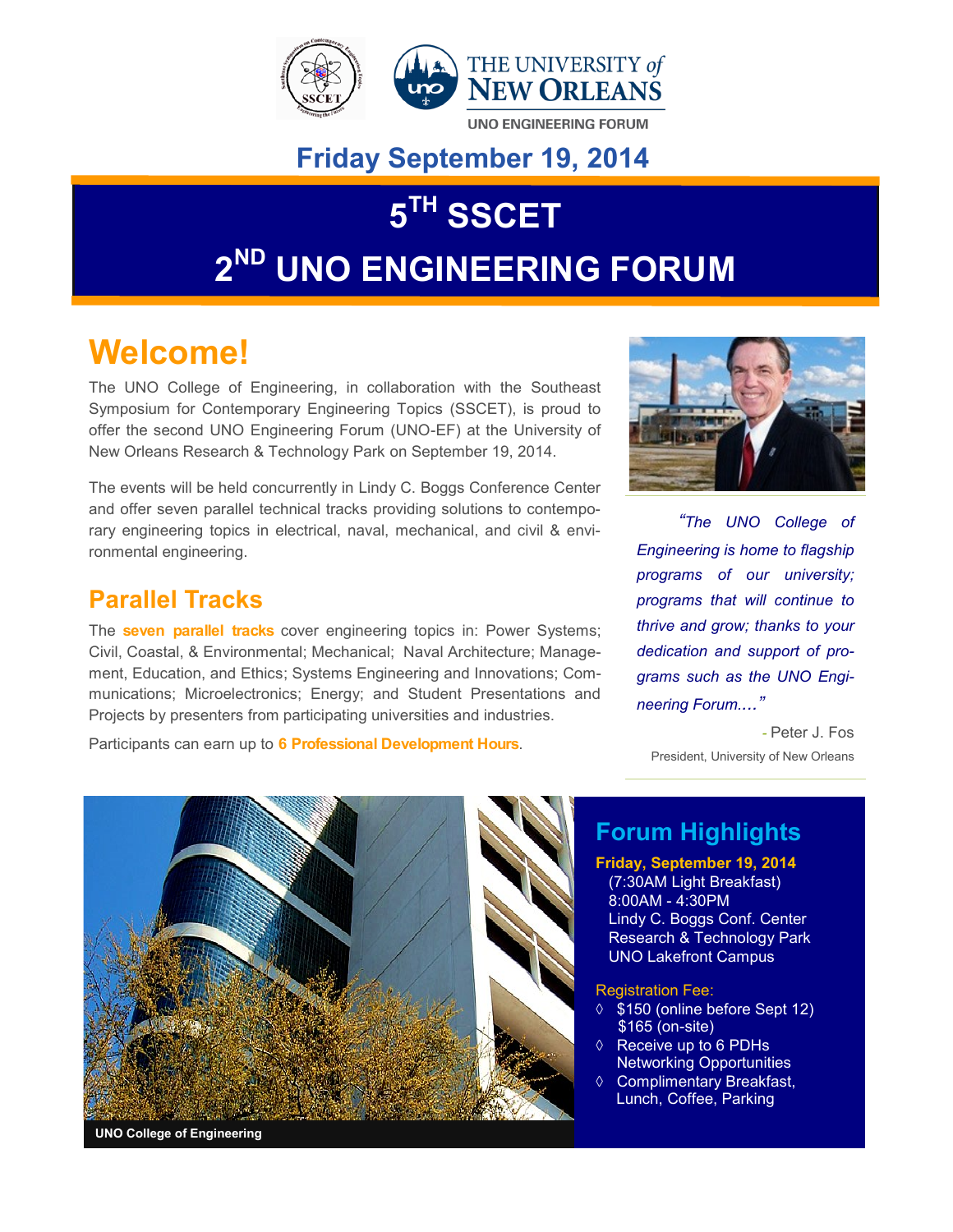

### **Friday September 19, 2014**

# $5^{\text{TH}}$  **SSCET 2 ND UNO ENGINEERING FORUM**

## **Welcome!**

The UNO College of Engineering, in collaboration with the [Southeast](http://sscet.net/)  [Symposium for Contemporary Engineering Topics](http://sscet.net/) (SSCET), is proud to offer the second UNO Engineering Forum (UNO-EF) at the [University of](http://rtp.uno.edu/facilities.htm)  [New Orleans Research & Technology Park](http://rtp.uno.edu/facilities.htm) on September 19, 2014.

The events will be held concurrently in [Lindy C. Boggs Conference Center](http://conferences.uno.edu/) and offer seven parallel technical tracks providing solutions to contemporary engineering topics in electrical, naval, mechanical, and civil & environmental engineering.

#### **Parallel Tracks**

The **seven parallel tracks** cover engineering topics in: [Power Systems;](http://www.uno-ef.org/program-schedule/tracks/engineering-education) [Civil, Coastal, & Environmental;](http://www.uno-ef.org/program-schedule/tracks/coastal-civil-and-environmental-engineering) [Mechanical; Naval Architecture; Manage](http://www.uno-ef.org/program-schedule/tracks/electrical-power-systems)[ment, Education, and Ethics; Systems Engineering and Innovations;](http://www.uno-ef.org/program-schedule/tracks/electrical-power-systems) [Com](http://www.uno-ef.org/program-schedule/tracks/student-projects-presentations)[munications; Microelectronics;](http://www.uno-ef.org/program-schedule/tracks/student-projects-presentations) Energy; and [Student Presentations and](http://www.uno-ef.org/program-schedule/tracks/student-projects-presentations)  [Projects](http://www.uno-ef.org/program-schedule/tracks/student-projects-presentations) by presenters from participating universities and industries.

Participants can earn up to **6 Professional Development Hours**.



*"The UNO College of Engineering is home to flagship programs of our university; programs that will continue to thrive and grow; thanks to your dedication and support of programs such as the UNO Engineering Forum...."*

*-* Peter J. Fos President, University of New Orleans



### **Forum Highlights**

**Friday, September 19, 2014** (7:30AM Light Breakfast) 8:00AM - 4:30PM Lindy C. Boggs Conf. Center Research & Technology Park UNO Lakefront Campus

Registration Fee:

- **↑ \$150 (online before Sept 12)** \$165 (on-site)
- $\Diamond$  Receive up to 6 PDHs Networking Opportunities
- ♦ Complimentary Breakfast, Lunch, Coffee, Parking

**UNO College of Engineering**